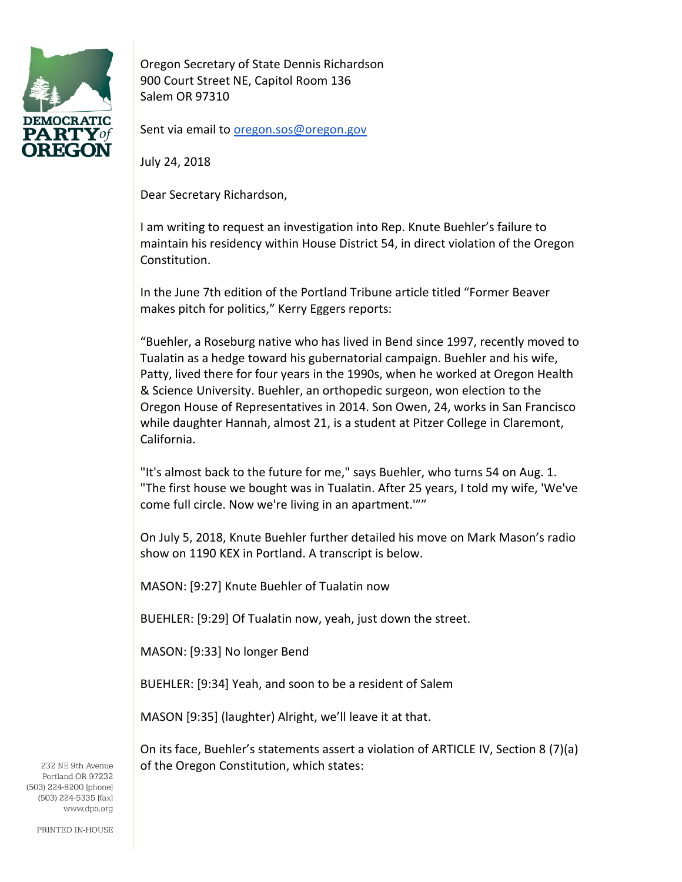

Oregon Secretary of State Dennis Richardson 900 Court Street NE, Capitol Room 136 Salem OR 97310

Sent via email t[o oregon.sos@oregon.gov](mailto:oregon.sos@oregon.gov)

July 24, 2018

Dear Secretary Richardson,

I am writing to request an investigation into Rep. Knute Buehler's failure to maintain his residency within House District 54, in direct violation of the Oregon Constitution.

In the June 7th edition of the Portland Tribune article titled "Former Beaver makes pitch for politics," Kerry Eggers reports:

"Buehler, a Roseburg native who has lived in Bend since 1997, recently moved to Tualatin as a hedge toward his gubernatorial campaign. Buehler and his wife, Patty, lived there for four years in the 1990s, when he worked at Oregon Health & Science University. Buehler, an orthopedic surgeon, won election to the Oregon House of Representatives in 2014. Son Owen, 24, works in San Francisco while daughter Hannah, almost 21, is a student at Pitzer College in Claremont, California.

"It's almost back to the future for me," says Buehler, who turns 54 on Aug. 1. "The first house we bought was in Tualatin. After 25 years, I told my wife, 'We've come full circle. Now we're living in an apartment.'""

On July 5, 2018, Knute Buehler further detailed his move on Mark Mason's radio show on 1190 KEX in Portland. A transcript is below.

MASON: [9:27] Knute Buehler of Tualatin now

BUEHLER: [9:29] Of Tualatin now, yeah, just down the street.

MASON: [9:33] No longer Bend

BUEHLER: [9:34] Yeah, and soon to be a resident of Salem

MASON [9:35] (laughter) Alright, we'll leave it at that.

On its face, Buehler's statements assert a violation of ARTICLE IV, Section 8 (7)(a) of the Oregon Constitution, which states:

232 NE 9th Avenue Portland OR 97232 (503) 224-8200 [phone] (503) 224-5335 [fax] www.dpo.org

PRINTED IN-HOUSE